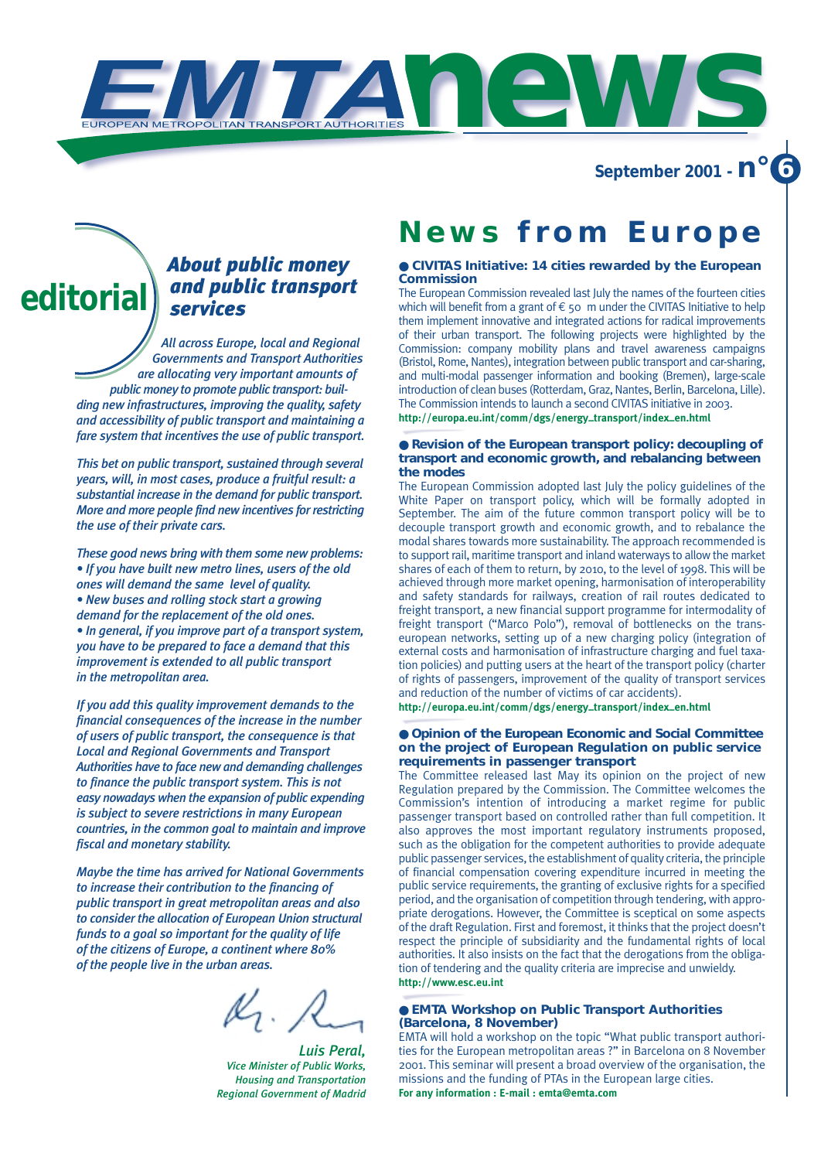**September 2001 - n° 6**

# *About public money and public transport services*  **editorial**

*All across Europe, local and Regional Governments and Transport Authorities are allocating very important amounts of public money to promote public transport: building new infrastructures, improving the quality, safety and accessibility of public transport and maintaining a fare system that incentives the use of public transport.*

*This bet on public transport, sustained through several years, will, in most cases, produce a fruitful result: a substantial increase in the demand for public transport. More and more people find new incentives for restricting the use of their private cars.*

*These good news bring with them some new problems: • If you have built new metro lines, users of the old ones will demand the same level of quality. • New buses and rolling stock start a growing demand for the replacement of the old ones. • In general, if you improve part of a transport system, you have to be prepared to face a demand that this improvement is extended to all public transport in the metropolitan area.*

*If you add this quality improvement demands to the financial consequences of the increase in the number of users of public transport, the consequence is that Local and Regional Governments and Transport Authorities have to face new and demanding challenges to finance the public transport system. This is not easy nowadays when the expansion of public expending is subject to severe restrictions in many European countries, in the common goal to maintain and improve fiscal and monetary stability.*

*Maybe the time has arrived for National Governments to increase their contribution to the financing of public transport in great metropolitan areas and also to consider the allocation of European Union structural funds to a goal so important for the quality of life of the citizens of Europe, a continent where 80% of the people live in the urban areas.*

 $\mathcal{U}, \;$ 

*Luis Peral, Vice Minister of Public Works, Housing and Transportation Regional Government of Madrid*

# **News from Europe**

**news**

# ● **CIVITAS Initiative: 14 cities rewarded by the European Commission**

The European Commission revealed last July the names of the fourteen cities which will benefit from a grant of  $\epsilon$  50 m under the CIVITAS Initiative to help them implement innovative and integrated actions for radical improvements of their urban transport. The following projects were highlighted by the Commission: company mobility plans and travel awareness campaigns (Bristol, Rome, Nantes), integration between public transport and car-sharing, and multi-modal passenger information and booking (Bremen), large-scale introduction of clean buses (Rotterdam, Graz, Nantes, Berlin, Barcelona, Lille). The Commission intends to launch a second CIVITAS initiative in 2003. **http://europa.eu.int/comm/dgs/energy–transport/index–en.html**

# ● **Revision of the European transport policy: decoupling of transport and economic growth, and rebalancing between the modes**

The European Commission adopted last July the policy guidelines of the White Paper on transport policy, which will be formally adopted in September. The aim of the future common transport policy will be to decouple transport growth and economic growth, and to rebalance the modal shares towards more sustainability. The approach recommended is to support rail, maritime transport and inland waterways to allow the market shares of each of them to return, by 2010, to the level of 1998. This will be achieved through more market opening, harmonisation of interoperability and safety standards for railways, creation of rail routes dedicated to freight transport, a new financial support programme for intermodality of freight transport ("Marco Polo"), removal of bottlenecks on the transeuropean networks, setting up of a new charging policy (integration of external costs and harmonisation of infrastructure charging and fuel taxation policies) and putting users at the heart of the transport policy (charter of rights of passengers, improvement of the quality of transport services and reduction of the number of victims of car accidents).

**http://europa.eu.int/comm/dgs/energy–transport/index–en.html**

# ● **Opinion of the European Economic and Social Committee on the project of European Regulation on public service requirements in passenger transport**

The Committee released last May its opinion on the project of new Regulation prepared by the Commission. The Committee welcomes the Commission's intention of introducing a market regime for public passenger transport based on controlled rather than full competition. It also approves the most important regulatory instruments proposed, such as the obligation for the competent authorities to provide adequate public passenger services, the establishment of quality criteria, the principle of financial compensation covering expenditure incurred in meeting the public service requirements, the granting of exclusive rights for a specified period, and the organisation of competition through tendering, with appropriate derogations. However, the Committee is sceptical on some aspects of the draft Regulation. First and foremost, it thinks that the project doesn't respect the principle of subsidiarity and the fundamental rights of local authorities. It also insists on the fact that the derogations from the obligation of tendering and the quality criteria are imprecise and unwieldy. **http://www.esc.eu.int**

# ● **EMTA Workshop on Public Transport Authorities (Barcelona, 8 November)**

EMTA will hold a workshop on the topic "What public transport authorities for the European metropolitan areas ?" in Barcelona on 8 November 2001. This seminar will present a broad overview of the organisation, the missions and the funding of PTAs in the European large cities. **For any information : E-mail : emta@emta.com**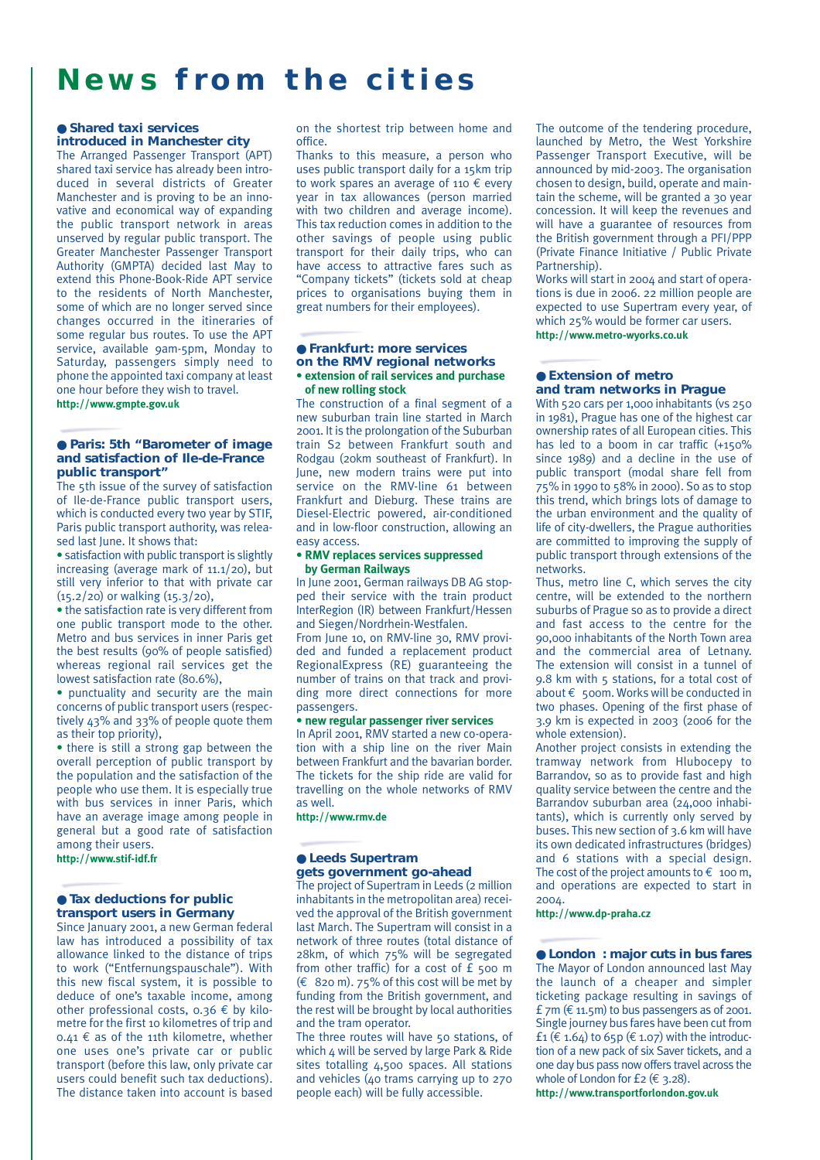# **News from the cities**

### ● **Shared taxi services introduced in Manchester city**

The Arranged Passenger Transport (APT) shared taxi service has already been introduced in several districts of Greater Manchester and is proving to be an innovative and economical way of expanding the public transport network in areas unserved by regular public transport. The Greater Manchester Passenger Transport Authority (GMPTA) decided last May to extend this Phone-Book-Ride APT service to the residents of North Manchester, some of which are no longer served since changes occurred in the itineraries of some regular bus routes. To use the APT service, available 9am-5pm, Monday to Saturday, passengers simply need to phone the appointed taxi company at least one hour before they wish to travel.

#### **http://www.gmpte.gov.uk**

### ● **Paris: 5th "Barometer of image and satisfaction of Ile-de-France public transport"**

The 5th issue of the survey of satisfaction of Ile-de-France public transport users, which is conducted every two year by STIF, Paris public transport authority, was released last June. It shows that:

• satisfaction with public transport is slightly increasing (average mark of 11.1/20), but still very inferior to that with private car (15.2/20) or walking (15.3/20),

• the satisfaction rate is very different from one public transport mode to the other. Metro and bus services in inner Paris get the best results (90% of people satisfied) whereas regional rail services get the lowest satisfaction rate (80.6%),

• punctuality and security are the main concerns of public transport users (respectively 43% and 33% of people quote them as their top priority),

• there is still a strong gap between the overall perception of public transport by the population and the satisfaction of the people who use them. It is especially true with bus services in inner Paris, which have an average image among people in general but a good rate of satisfaction among their users.

**http://www.stif-idf.fr**

## ● **Tax deductions for public transport users in Germany**

Since January 2001, a new German federal law has introduced a possibility of tax allowance linked to the distance of trips to work ("Entfernungspauschale"). With this new fiscal system, it is possible to deduce of one's taxable income, among other professional costs,  $0.36 \notin$  by kilometre for the first 10 kilometres of trip and  $0.41 \notin$  as of the 11th kilometre, whether one uses one's private car or public transport (before this law, only private car users could benefit such tax deductions). The distance taken into account is based

on the shortest trip between home and office.

Thanks to this measure, a person who uses public transport daily for a 15km trip to work spares an average of 110  $\epsilon$  every year in tax allowances (person married with two children and average income). This tax reduction comes in addition to the other savings of people using public transport for their daily trips, who can have access to attractive fares such as "Company tickets" (tickets sold at cheap prices to organisations buying them in great numbers for their employees).

# ● **Frankfurt: more services on the RMV regional networks • extension of rail services and purchase of new rolling stock**

The construction of a final segment of a new suburban train line started in March 2001. It is the prolongation of the Suburban train S2 between Frankfurt south and Rodgau (20km southeast of Frankfurt). In June, new modern trains were put into service on the RMV-line 61 between Frankfurt and Dieburg. These trains are Diesel-Electric powered, air-conditioned and in low-floor construction, allowing an easy access.

# **• RMV replaces services suppressed by German Railways**

In June 2001, German railways DB AG stopped their service with the train product InterRegion (IR) between Frankfurt/Hessen and Siegen/Nordrhein-Westfalen.

From June 10, on RMV-line 30, RMV provided and funded a replacement product RegionalExpress (RE) guaranteeing the number of trains on that track and providing more direct connections for more passengers.

## **• new regular passenger river services**

In April 2001, RMV started a new co-operation with a ship line on the river Main between Frankfurt and the bavarian border. The tickets for the ship ride are valid for travelling on the whole networks of RMV as well.

**http://www.rmv.de**

# ● **Leeds Supertram gets government go-ahead**

The project of Supertram in Leeds (2 million inhabitants in the metropolitan area) received the approval of the British government last March. The Supertram will consist in a network of three routes (total distance of 28km, of which 75% will be segregated from other traffic) for a cost of £ 500 m  $(E 820 \text{ m})$ . 75% of this cost will be met by funding from the British government, and the rest will be brought by local authorities and the tram operator.

The three routes will have 50 stations, of which 4 will be served by large Park & Ride sites totalling 4,500 spaces. All stations and vehicles (40 trams carrying up to 270 people each) will be fully accessible.

The outcome of the tendering procedure, launched by Metro, the West Yorkshire Passenger Transport Executive, will be announced by mid-2003. The organisation chosen to design, build, operate and maintain the scheme, will be granted a 30 year concession. It will keep the revenues and will have a guarantee of resources from the British government through a PFI/PPP (Private Finance Initiative / Public Private Partnership).

Works will start in 2004 and start of operations is due in 2006. 22 million people are expected to use Supertram every year, of which 25% would be former car users. **http://www.metro-wyorks.co.uk**

## ● **Extension of metro and tram networks in Prague**

With 520 cars per 1,000 inhabitants (vs 250 in 1981), Prague has one of the highest car ownership rates of all European cities. This has led to a boom in car traffic (+150% since 1989) and a decline in the use of public transport (modal share fell from 75% in 1990 to 58% in 2000). So as to stop this trend, which brings lots of damage to the urban environment and the quality of life of city-dwellers, the Prague authorities are committed to improving the supply of public transport through extensions of the networks.

Thus, metro line C, which serves the city centre, will be extended to the northern suburbs of Prague so as to provide a direct and fast access to the centre for the 90,000 inhabitants of the North Town area and the commercial area of Letnany. The extension will consist in a tunnel of 9.8 km with 5 stations, for a total cost of about € 500m. Works will be conducted in two phases. Opening of the first phase of 3.9 km is expected in 2003 (2006 for the whole extension).

Another project consists in extending the tramway network from Hlubocepy to Barrandov, so as to provide fast and high quality service between the centre and the Barrandov suburban area (24,000 inhabitants), which is currently only served by buses. This new section of 3.6 km will have its own dedicated infrastructures (bridges) and 6 stations with a special design. The cost of the project amounts to  $\epsilon$  100 m, and operations are expected to start in 2004.

**http://www.dp-praha.cz**

● **London : major cuts in bus fares** The Mayor of London announced last May the launch of a cheaper and simpler ticketing package resulting in savings of £ 7m ( $\epsilon$  11.5m) to bus passengers as of 2001. Single journey bus fares have been cut from £1 ( $\in$  1.64) to 65p ( $\in$  1.07) with the introduction of a new pack of six Saver tickets, and a one day bus pass now offers travel across the whole of London for £2 ( $\epsilon$  3.28).

**http://www.transportforlondon.gov.uk**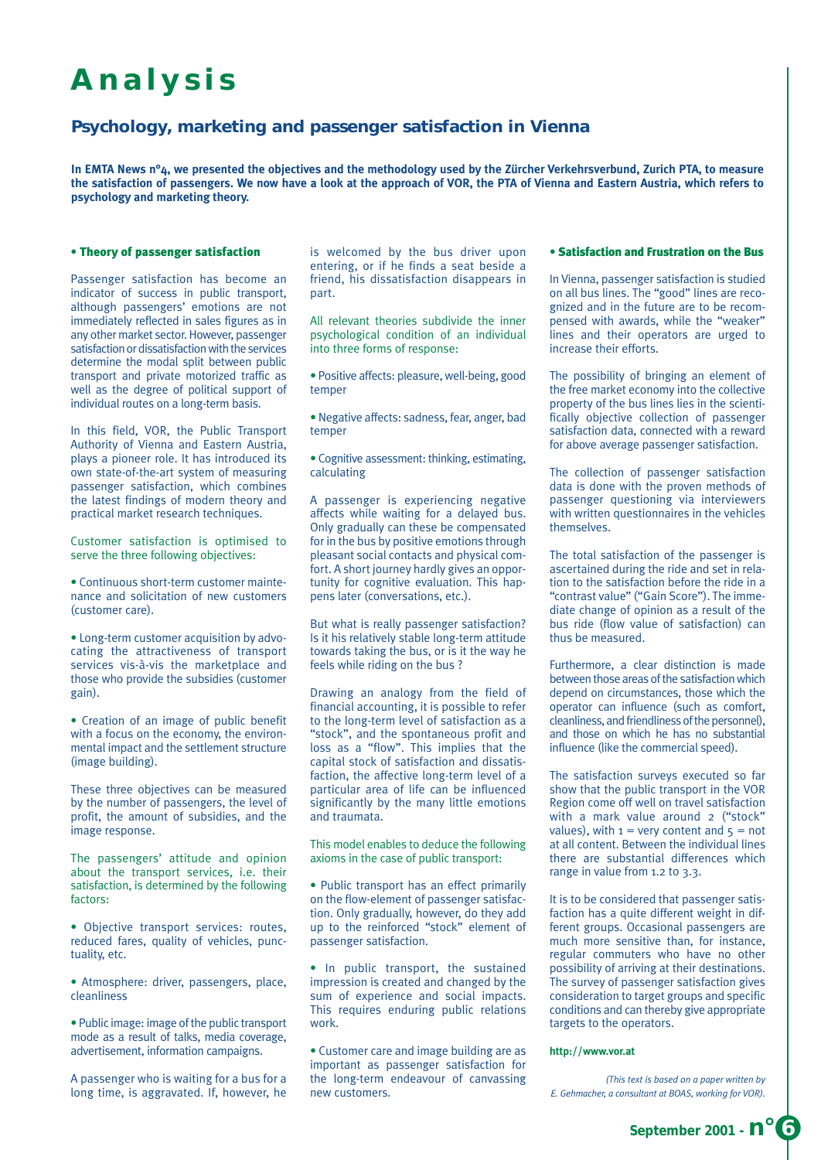# **Analysis**

# **Psychology, marketing and passenger satisfaction in Vienna**

**In EMTA News n°4, we presented the objectives and the methodology used by the Zürcher Verkehrsverbund, Zurich PTA, to measure the satisfaction of passengers. We now have a look at the approach of VOR, the PTA of Vienna and Eastern Austria, which refers to psychology and marketing theory.** 

# • Theory of passenger satisfaction

Passenger satisfaction has become an indicator of success in public transport, although passengers' emotions are not immediately reflected in sales figures as in any other market sector. However, passenger satisfaction or dissatisfaction with the services determine the modal split between public transport and private motorized traffic as well as the degree of political support of individual routes on a long-term basis.

In this field, VOR, the Public Transport Authority of Vienna and Eastern Austria, plays a pioneer role. It has introduced its own state-of-the-art system of measuring passenger satisfaction, which combines the latest findings of modern theory and practical market research techniques.

Customer satisfaction is optimised to serve the three following objectives:

• Continuous short-term customer maintenance and solicitation of new customers (customer care).

• Long-term customer acquisition by advocating the attractiveness of transport services vis-à-vis the marketplace and those who provide the subsidies (customer gain).

• Creation of an image of public benefit with a focus on the economy, the environmental impact and the settlement structure (image building).

These three objectives can be measured by the number of passengers, the level of profit, the amount of subsidies, and the image response.

The passengers' attitude and opinion about the transport services, i.e. their satisfaction, is determined by the following factors:

• Objective transport services: routes, reduced fares, quality of vehicles, punctuality, etc.

• Atmosphere: driver, passengers, place, cleanliness

• Public image: image of the public transport mode as a result of talks, media coverage, advertisement, information campaigns.

A passenger who is waiting for a bus for a long time, is aggravated. If, however, he is welcomed by the bus driver upon entering, or if he finds a seat beside a friend, his dissatisfaction disappears in part.

All relevant theories subdivide the inner psychological condition of an individual into three forms of response:

• Positive affects: pleasure, well-being, good temper

• Negative affects: sadness, fear, anger, bad temper

• Cognitive assessment: thinking, estimating, calculating

A passenger is experiencing negative affects while waiting for a delayed bus. Only gradually can these be compensated for in the bus by positive emotions through pleasant social contacts and physical comfort. A short journey hardly gives an opportunity for cognitive evaluation. This happens later (conversations, etc.).

But what is really passenger satisfaction? Is it his relatively stable long-term attitude towards taking the bus, or is it the way he feels while riding on the bus ?

Drawing an analogy from the field of financial accounting, it is possible to refer to the long-term level of satisfaction as a "stock", and the spontaneous profit and loss as a "flow". This implies that the capital stock of satisfaction and dissatisfaction, the affective long-term level of a particular area of life can be influenced significantly by the many little emotions and traumata.

This model enables to deduce the following axioms in the case of public transport:

• Public transport has an effect primarily on the flow-element of passenger satisfaction. Only gradually, however, do they add up to the reinforced "stock" element of passenger satisfaction.

• In public transport, the sustained impression is created and changed by the sum of experience and social impacts. This requires enduring public relations work.

• Customer care and image building are as important as passenger satisfaction for the long-term endeavour of canvassing new customers.

# • Satisfaction and Frustration on the Bus

In Vienna, passenger satisfaction is studied on all bus lines. The "good" lines are recognized and in the future are to be recompensed with awards, while the "weaker" lines and their operators are urged to increase their efforts.

The possibility of bringing an element of the free market economy into the collective property of the bus lines lies in the scientifically objective collection of passenger satisfaction data, connected with a reward for above average passenger satisfaction.

The collection of passenger satisfaction data is done with the proven methods of passenger questioning via interviewers with written questionnaires in the vehicles themselves

The total satisfaction of the passenger is ascertained during the ride and set in relation to the satisfaction before the ride in a "contrast value" ("Gain Score"). The immediate change of opinion as a result of the bus ride (flow value of satisfaction) can thus be measured.

Furthermore, a clear distinction is made between those areas of the satisfaction which depend on circumstances, those which the operator can influence (such as comfort, cleanliness, and friendliness of the personnel), and those on which he has no substantial influence (like the commercial speed).

The satisfaction surveys executed so far show that the public transport in the VOR Region come off well on travel satisfaction with a mark value around 2 ("stock" values), with  $1 = \text{very content}$  and  $5 = \text{not}$ at all content. Between the individual lines there are substantial differences which range in value from 1.2 to 3.3.

It is to be considered that passenger satisfaction has a quite different weight in different groups. Occasional passengers are much more sensitive than, for instance, regular commuters who have no other possibility of arriving at their destinations. The survey of passenger satisfaction gives consideration to target groups and specific conditions and can thereby give appropriate targets to the operators.

### **http://www.vor.at**

*(This text is based on a paper written by E. Gehmacher, a consultant at BOAS, working for VOR).*